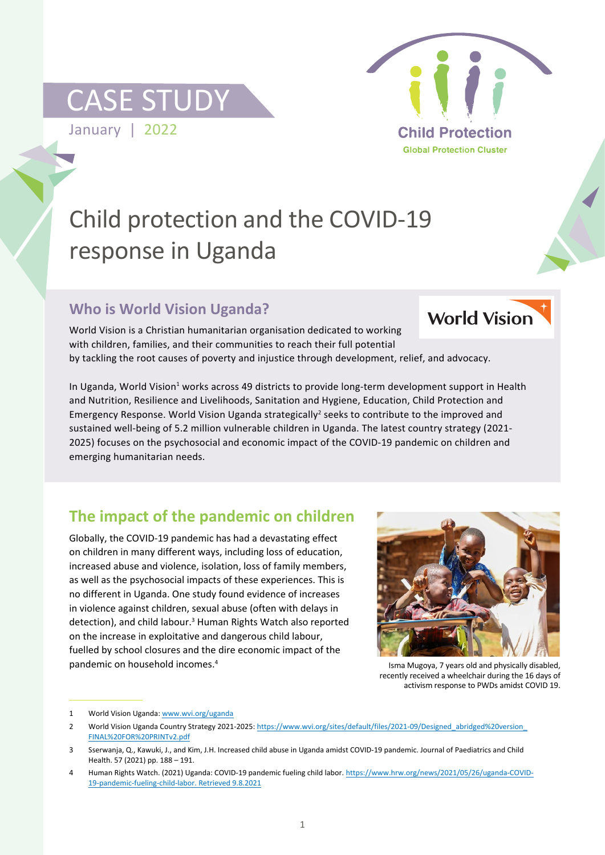## CASE STUDY

January | 2022



# Child protection and the COVID-19 response in Uganda

### **Who is World Vision Uganda?**



World Vision is a Christian humanitarian organisation dedicated to working with children, families, and their communities to reach their full potential by tackling the root causes of poverty and injustice through development, relief, and advocacy.

In Uganda, World Vision<sup>1</sup> works across 49 districts to provide long-term development support in Health and Nutrition, Resilience and Livelihoods, Sanitation and Hygiene, Education, Child Protection and Emergency Response. World Vision Uganda strategically<sup>2</sup> seeks to contribute to the improved and sustained well-being of 5.2 million vulnerable children in Uganda. The latest country strategy (2021- 2025) focuses on the psychosocial and economic impact of the COVID-19 pandemic on children and emerging humanitarian needs.

## **The impact of the pandemic on children**

Globally, the COVID-19 pandemic has had a devastating effect on children in many different ways, including loss of education, increased abuse and violence, isolation, loss of family members, as well as the psychosocial impacts of these experiences. This is no different in Uganda. One study found evidence of increases in violence against children, sexual abuse (often with delays in detection), and child labour.<sup>3</sup> Human Rights Watch also reported on the increase in exploitative and dangerous child labour, fuelled by school closures and the dire economic impact of the pandemic on household incomes.4



Isma Mugoya, 7 years old and physically disabled, recently received a wheelchair during the 16 days of activism response to PWDs amidst COVID 19.

<sup>1</sup> World Vision Uganda: www.wvi.org/uganda

<sup>2</sup> World Vision Uganda Country Strategy 2021-2025: https://www.wvi.org/sites/default/files/2021-09/Designed\_abridged%20version\_ FINAL%20FOR%20PRINTv2.pdf

<sup>3</sup> Sserwanja, Q., Kawuki, J., and Kim, J.H. Increased child abuse in Uganda amidst COVID-19 pandemic. Journal of Paediatrics and Child Health. 57 (2021) pp. 188 – 191.

<sup>4</sup> Human Rights Watch. (2021) Uganda: COVID-19 pandemic fueling child labor. https://www.hrw.org/news/2021/05/26/uganda-COVID-19-pandemic-fueling-child-labor. Retrieved 9.8.2021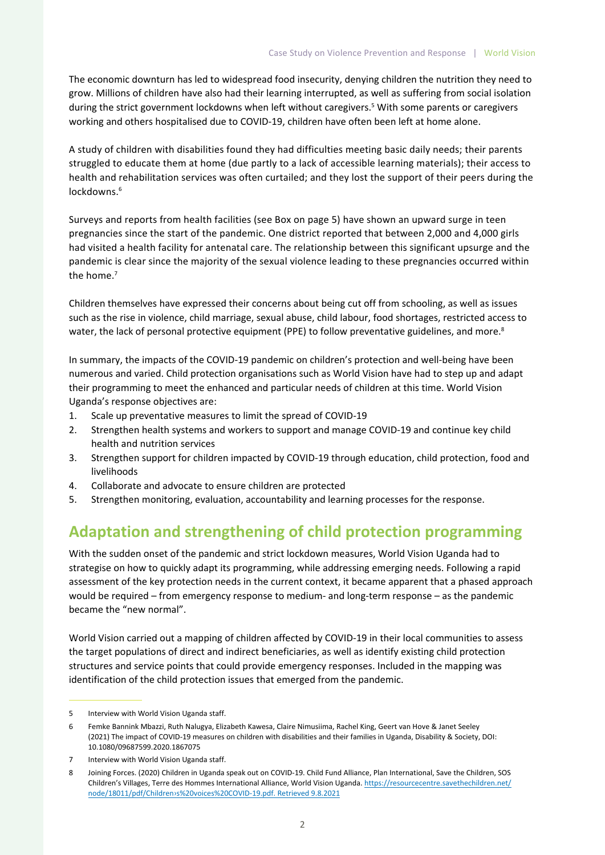The economic downturn has led to widespread food insecurity, denying children the nutrition they need to grow. Millions of children have also had their learning interrupted, as well as suffering from social isolation during the strict government lockdowns when left without caregivers.<sup>5</sup> With some parents or caregivers working and others hospitalised due to COVID-19, children have often been left at home alone.

A study of children with disabilities found they had difficulties meeting basic daily needs; their parents struggled to educate them at home (due partly to a lack of accessible learning materials); their access to health and rehabilitation services was often curtailed; and they lost the support of their peers during the lockdowns.<sup>6</sup>

Surveys and reports from health facilities (see Box on page 5) have shown an upward surge in teen pregnancies since the start of the pandemic. One district reported that between 2,000 and 4,000 girls had visited a health facility for antenatal care. The relationship between this significant upsurge and the pandemic is clear since the majority of the sexual violence leading to these pregnancies occurred within the home.<sup>7</sup>

Children themselves have expressed their concerns about being cut off from schooling, as well as issues such as the rise in violence, child marriage, sexual abuse, child labour, food shortages, restricted access to water, the lack of personal protective equipment (PPE) to follow preventative guidelines, and more.<sup>8</sup>

In summary, the impacts of the COVID-19 pandemic on children's protection and well-being have been numerous and varied. Child protection organisations such as World Vision have had to step up and adapt their programming to meet the enhanced and particular needs of children at this time. World Vision Uganda's response objectives are:

- 1. Scale up preventative measures to limit the spread of COVID-19
- 2. Strengthen health systems and workers to support and manage COVID-19 and continue key child health and nutrition services
- 3. Strengthen support for children impacted by COVID-19 through education, child protection, food and livelihoods
- 4. Collaborate and advocate to ensure children are protected
- 5. Strengthen monitoring, evaluation, accountability and learning processes for the response.

### **Adaptation and strengthening of child protection programming**

With the sudden onset of the pandemic and strict lockdown measures, World Vision Uganda had to strategise on how to quickly adapt its programming, while addressing emerging needs. Following a rapid assessment of the key protection needs in the current context, it became apparent that a phased approach would be required – from emergency response to medium- and long-term response – as the pandemic became the "new normal".

World Vision carried out a mapping of children affected by COVID-19 in their local communities to assess the target populations of direct and indirect beneficiaries, as well as identify existing child protection structures and service points that could provide emergency responses. Included in the mapping was identification of the child protection issues that emerged from the pandemic.

<sup>5</sup> Interview with World Vision Uganda staff.

<sup>6</sup> Femke Bannink Mbazzi, Ruth Nalugya, Elizabeth Kawesa, Claire Nimusiima, Rachel King, Geert van Hove & Janet Seeley (2021) The impact of COVID-19 measures on children with disabilities and their families in Uganda, Disability & Society, DOI: 10.1080/09687599.2020.1867075

<sup>7</sup> Interview with World Vision Uganda staff.

<sup>8</sup> Joining Forces. (2020) Children in Uganda speak out on COVID-19. Child Fund Alliance, Plan International, Save the Children, SOS Children's Villages, Terre des Hommes International Alliance, World Vision Uganda. https://resourcecentre.savethechildren.net/ node/18011/pdf/Children›s%20voices%20COVID-19.pdf. Retrieved 9.8.2021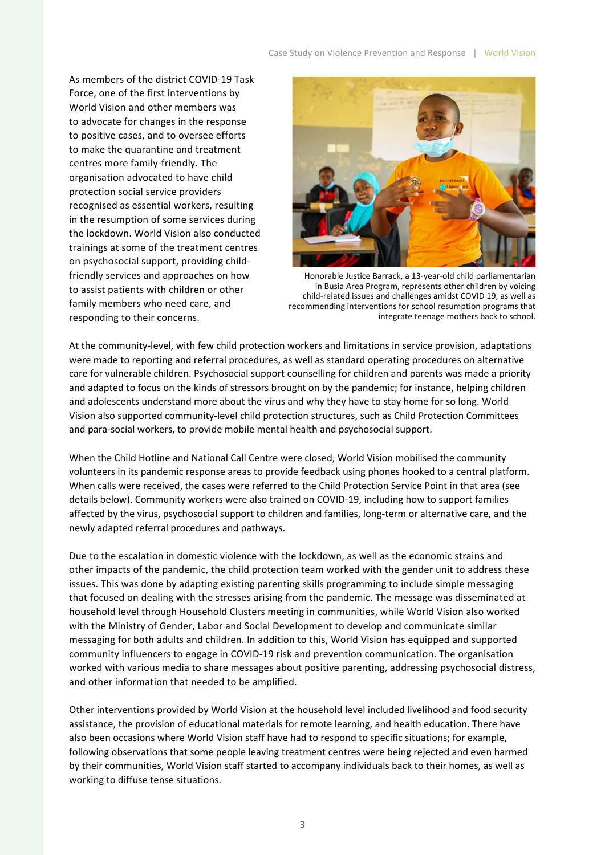As members of the district COVID-19 Task Force, one of the first interventions by World Vision and other members was to advocate for changes in the response to positive cases, and to oversee efforts to make the quarantine and treatment centres more family-friendly. The organisation advocated to have child protection social service providers recognised as essential workers, resulting in the resumption of some services during the lockdown. World Vision also conducted trainings at some of the treatment centres on psychosocial support, providing childfriendly services and approaches on how to assist patients with children or other family members who need care, and responding to their concerns.



Honorable Justice Barrack, a 13-year-old child parliamentarian in Busia Area Program, represents other children by voicing child-related issues and challenges amidst COVID 19, as well as recommending interventions for school resumption programs that integrate teenage mothers back to school.

At the community-level, with few child protection workers and limitations in service provision, adaptations were made to reporting and referral procedures, as well as standard operating procedures on alternative care for vulnerable children. Psychosocial support counselling for children and parents was made a priority and adapted to focus on the kinds of stressors brought on by the pandemic; for instance, helping children and adolescents understand more about the virus and why they have to stay home for so long. World Vision also supported community-level child protection structures, such as Child Protection Committees and para-social workers, to provide mobile mental health and psychosocial support.

When the Child Hotline and National Call Centre were closed, World Vision mobilised the community volunteers in its pandemic response areas to provide feedback using phones hooked to a central platform. When calls were received, the cases were referred to the Child Protection Service Point in that area (see details below). Community workers were also trained on COVID-19, including how to support families affected by the virus, psychosocial support to children and families, long-term or alternative care, and the newly adapted referral procedures and pathways.

Due to the escalation in domestic violence with the lockdown, as well as the economic strains and other impacts of the pandemic, the child protection team worked with the gender unit to address these issues. This was done by adapting existing parenting skills programming to include simple messaging that focused on dealing with the stresses arising from the pandemic. The message was disseminated at household level through Household Clusters meeting in communities, while World Vision also worked with the Ministry of Gender, Labor and Social Development to develop and communicate similar messaging for both adults and children. In addition to this, World Vision has equipped and supported community influencers to engage in COVID-19 risk and prevention communication. The organisation worked with various media to share messages about positive parenting, addressing psychosocial distress, and other information that needed to be amplified.

Other interventions provided by World Vision at the household level included livelihood and food security assistance, the provision of educational materials for remote learning, and health education. There have also been occasions where World Vision staff have had to respond to specific situations; for example, following observations that some people leaving treatment centres were being rejected and even harmed by their communities, World Vision staff started to accompany individuals back to their homes, as well as working to diffuse tense situations.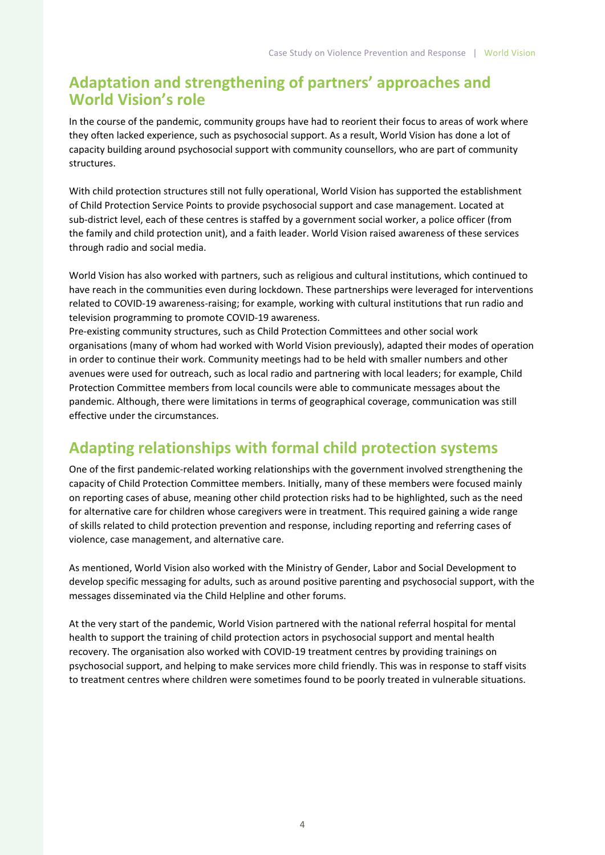#### **Adaptation and strengthening of partners' approaches and World Vision's role**

In the course of the pandemic, community groups have had to reorient their focus to areas of work where they often lacked experience, such as psychosocial support. As a result, World Vision has done a lot of capacity building around psychosocial support with community counsellors, who are part of community structures.

With child protection structures still not fully operational, World Vision has supported the establishment of Child Protection Service Points to provide psychosocial support and case management. Located at sub-district level, each of these centres is staffed by a government social worker, a police officer (from the family and child protection unit), and a faith leader. World Vision raised awareness of these services through radio and social media.

World Vision has also worked with partners, such as religious and cultural institutions, which continued to have reach in the communities even during lockdown. These partnerships were leveraged for interventions related to COVID-19 awareness-raising; for example, working with cultural institutions that run radio and television programming to promote COVID-19 awareness.

Pre-existing community structures, such as Child Protection Committees and other social work organisations (many of whom had worked with World Vision previously), adapted their modes of operation in order to continue their work. Community meetings had to be held with smaller numbers and other avenues were used for outreach, such as local radio and partnering with local leaders; for example, Child Protection Committee members from local councils were able to communicate messages about the pandemic. Although, there were limitations in terms of geographical coverage, communication was still effective under the circumstances.

#### **Adapting relationships with formal child protection systems**

One of the first pandemic-related working relationships with the government involved strengthening the capacity of Child Protection Committee members. Initially, many of these members were focused mainly on reporting cases of abuse, meaning other child protection risks had to be highlighted, such as the need for alternative care for children whose caregivers were in treatment. This required gaining a wide range of skills related to child protection prevention and response, including reporting and referring cases of violence, case management, and alternative care.

As mentioned, World Vision also worked with the Ministry of Gender, Labor and Social Development to develop specific messaging for adults, such as around positive parenting and psychosocial support, with the messages disseminated via the Child Helpline and other forums.

At the very start of the pandemic, World Vision partnered with the national referral hospital for mental health to support the training of child protection actors in psychosocial support and mental health recovery. The organisation also worked with COVID-19 treatment centres by providing trainings on psychosocial support, and helping to make services more child friendly. This was in response to staff visits to treatment centres where children were sometimes found to be poorly treated in vulnerable situations.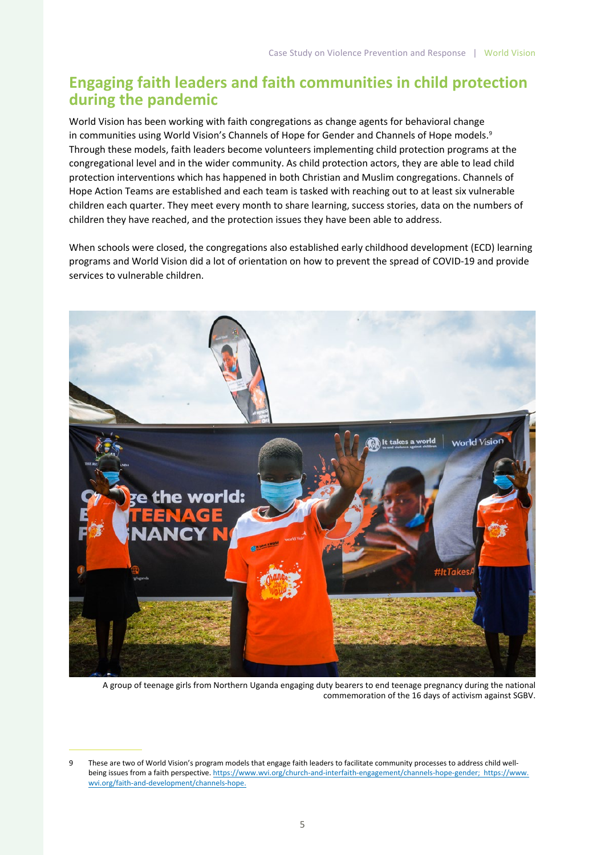#### **Engaging faith leaders and faith communities in child protection during the pandemic**

World Vision has been working with faith congregations as change agents for behavioral change in communities using World Vision's Channels of Hope for Gender and Channels of Hope models.<sup>9</sup> Through these models, faith leaders become volunteers implementing child protection programs at the congregational level and in the wider community. As child protection actors, they are able to lead child protection interventions which has happened in both Christian and Muslim congregations. Channels of Hope Action Teams are established and each team is tasked with reaching out to at least six vulnerable children each quarter. They meet every month to share learning, success stories, data on the numbers of children they have reached, and the protection issues they have been able to address.

When schools were closed, the congregations also established early childhood development (ECD) learning programs and World Vision did a lot of orientation on how to prevent the spread of COVID-19 and provide services to vulnerable children.



A group of teenage girls from Northern Uganda engaging duty bearers to end teenage pregnancy during the national commemoration of the 16 days of activism against SGBV.

<sup>9</sup> These are two of World Vision's program models that engage faith leaders to facilitate community processes to address child wellbeing issues from a faith perspective. https://www.wvi.org/church-and-interfaith-engagement/channels-hope-gender; https://www. wvi.org/faith-and-development/channels-hope.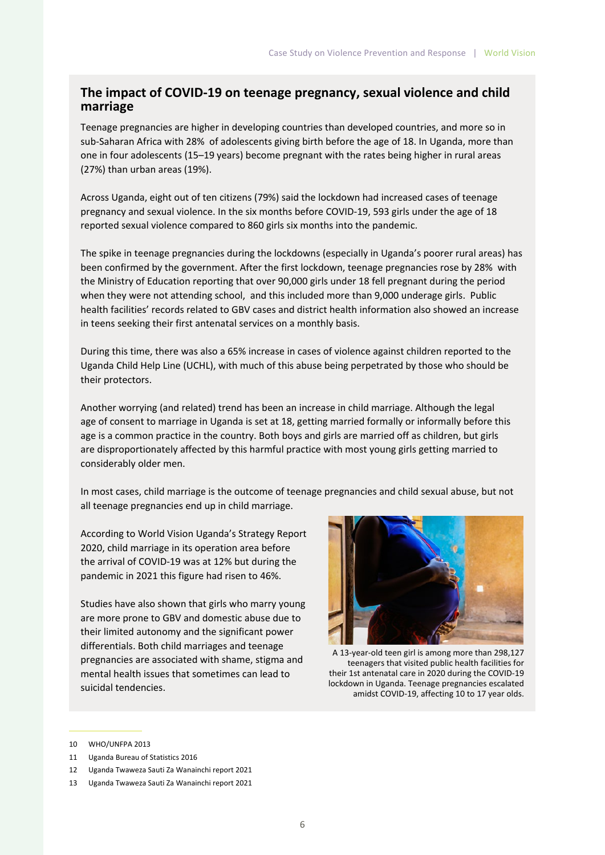#### **The impact of COVID-19 on teenage pregnancy, sexual violence and child marriage**

Teenage pregnancies are higher in developing countries than developed countries, and more so in sub-Saharan Africa with 28% of adolescents giving birth before the age of 18. In Uganda, more than one in four adolescents (15–19 years) become pregnant with the rates being higher in rural areas (27%) than urban areas (19%).

Across Uganda, eight out of ten citizens (79%) said the lockdown had increased cases of teenage pregnancy and sexual violence. In the six months before COVID-19, 593 girls under the age of 18 reported sexual violence compared to 860 girls six months into the pandemic.

The spike in teenage pregnancies during the lockdowns (especially in Uganda's poorer rural areas) has been confirmed by the government. After the first lockdown, teenage pregnancies rose by 28% with the Ministry of Education reporting that over 90,000 girls under 18 fell pregnant during the period when they were not attending school, and this included more than 9,000 underage girls. Public health facilities' records related to GBV cases and district health information also showed an increase in teens seeking their first antenatal services on a monthly basis.

During this time, there was also a 65% increase in cases of violence against children reported to the Uganda Child Help Line (UCHL), with much of this abuse being perpetrated by those who should be their protectors.

Another worrying (and related) trend has been an increase in child marriage. Although the legal age of consent to marriage in Uganda is set at 18, getting married formally or informally before this age is a common practice in the country. Both boys and girls are married off as children, but girls are disproportionately affected by this harmful practice with most young girls getting married to considerably older men.

In most cases, child marriage is the outcome of teenage pregnancies and child sexual abuse, but not all teenage pregnancies end up in child marriage.

According to World Vision Uganda's Strategy Report 2020, child marriage in its operation area before the arrival of COVID-19 was at 12% but during the pandemic in 2021 this figure had risen to 46%.

Studies have also shown that girls who marry young are more prone to GBV and domestic abuse due to their limited autonomy and the significant power differentials. Both child marriages and teenage pregnancies are associated with shame, stigma and mental health issues that sometimes can lead to suicidal tendencies.



A 13-year-old teen girl is among more than 298,127 teenagers that visited public health facilities for their 1st antenatal care in 2020 during the COVID-19 lockdown in Uganda. Teenage pregnancies escalated amidst COVID-19, affecting 10 to 17 year olds.

12 Uganda Twaweza Sauti Za Wanainchi report 2021

<sup>10</sup> WHO/UNFPA 2013

<sup>11</sup> Uganda Bureau of Statistics 2016

<sup>13</sup> Uganda Twaweza Sauti Za Wanainchi report 2021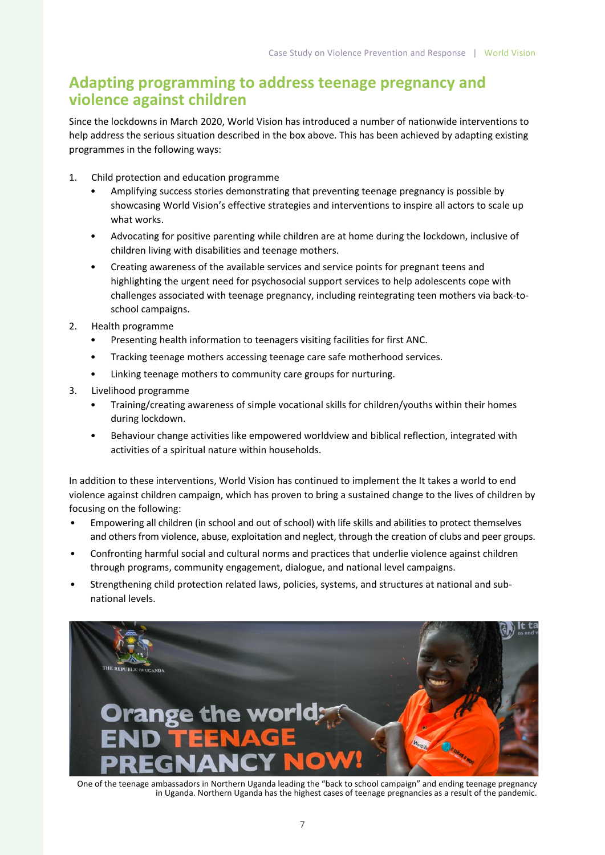#### **Adapting programming to address teenage pregnancy and violence against children**

Since the lockdowns in March 2020, World Vision has introduced a number of nationwide interventions to help address the serious situation described in the box above. This has been achieved by adapting existing programmes in the following ways:

- 1. Child protection and education programme
	- Amplifying success stories demonstrating that preventing teenage pregnancy is possible by showcasing World Vision's effective strategies and interventions to inspire all actors to scale up what works.
	- Advocating for positive parenting while children are at home during the lockdown, inclusive of children living with disabilities and teenage mothers.
	- Creating awareness of the available services and service points for pregnant teens and highlighting the urgent need for psychosocial support services to help adolescents cope with challenges associated with teenage pregnancy, including reintegrating teen mothers via back-toschool campaigns.
- 2. Health programme
	- Presenting health information to teenagers visiting facilities for first ANC.
	- Tracking teenage mothers accessing teenage care safe motherhood services.
	- Linking teenage mothers to community care groups for nurturing.
- 3. Livelihood programme
	- Training/creating awareness of simple vocational skills for children/youths within their homes during lockdown.
	- Behaviour change activities like empowered worldview and biblical reflection, integrated with activities of a spiritual nature within households.

In addition to these interventions, World Vision has continued to implement the It takes a world to end violence against children campaign, which has proven to bring a sustained change to the lives of children by focusing on the following:

- Empowering all children (in school and out of school) with life skills and abilities to protect themselves and others from violence, abuse, exploitation and neglect, through the creation of clubs and peer groups.
- Confronting harmful social and cultural norms and practices that underlie violence against children through programs, community engagement, dialogue, and national level campaigns.
- Strengthening child protection related laws, policies, systems, and structures at national and subnational levels.



One of the teenage ambassadors in Northern Uganda leading the "back to school campaign" and ending teenage pregnancy in Uganda. Northern Uganda has the highest cases of teenage pregnancies as a result of the pandemic.